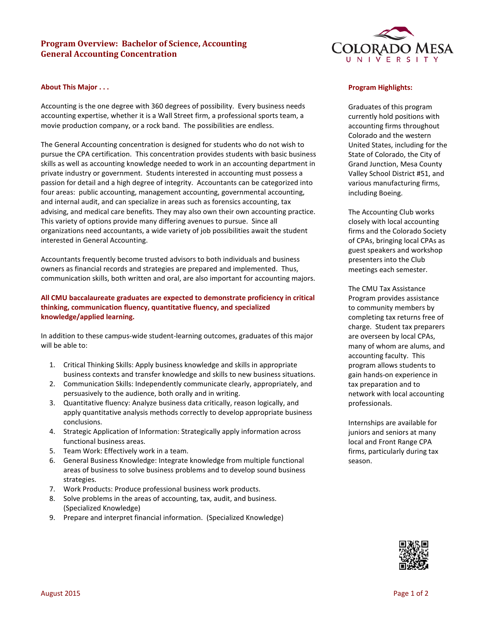# **Program Overview: Bachelor of Science, Accounting General Accounting Concentration**

## **About This Major . . .**

Accounting is the one degree with 360 degrees of possibility. Every business needs accounting expertise, whether it is a Wall Street firm, a professional sports team, a movie production company, or a rock band. The possibilities are endless.

The General Accounting concentration is designed for students who do not wish to pursue the CPA certification. This concentration provides students with basic business skills as well as accounting knowledge needed to work in an accounting department in private industry or government. Students interested in accounting must possess a passion for detail and a high degree of integrity. Accountants can be categorized into four areas: public accounting, management accounting, governmental accounting, and internal audit, and can specialize in areas such as forensics accounting, tax advising, and medical care benefits. They may also own their own accounting practice. This variety of options provide many differing avenues to pursue. Since all organizations need accountants, a wide variety of job possibilities await the student interested in General Accounting.

Accountants frequently become trusted advisors to both individuals and business owners as financial records and strategies are prepared and implemented. Thus, communication skills, both written and oral, are also important for accounting majors.

## **All CMU baccalaureate graduates are expected to demonstrate proficiency in critical thinking, communication fluency, quantitative fluency, and specialized knowledge/applied learning.**

In addition to these campus-wide student-learning outcomes, graduates of this major will be able to:

- 1. Critical Thinking Skills: Apply business knowledge and skills in appropriate business contexts and transfer knowledge and skills to new business situations.
- 2. Communication Skills: Independently communicate clearly, appropriately, and persuasively to the audience, both orally and in writing.
- 3. Quantitative fluency: Analyze business data critically, reason logically, and apply quantitative analysis methods correctly to develop appropriate business conclusions.
- 4. Strategic Application of Information: Strategically apply information across functional business areas.
- 5. Team Work: Effectively work in a team.
- 6. General Business Knowledge: Integrate knowledge from multiple functional areas of business to solve business problems and to develop sound business strategies.
- 7. Work Products: Produce professional business work products.
- 8. Solve problems in the areas of accounting, tax, audit, and business. (Specialized Knowledge)
- 9. Prepare and interpret financial information. (Specialized Knowledge)



#### **Program Highlights:**

Graduates of this program currently hold positions with accounting firms throughout Colorado and the western United States, including for the State of Colorado, the City of Grand Junction, Mesa County Valley School District #51, and various manufacturing firms, including Boeing.

The Accounting Club works closely with local accounting firms and the Colorado Society of CPAs, bringing local CPAs as guest speakers and workshop presenters into the Club meetings each semester.

The CMU Tax Assistance Program provides assistance to community members by completing tax returns free of charge. Student tax preparers are overseen by local CPAs, many of whom are alums, and accounting faculty. This program allows students to gain hands-on experience in tax preparation and to network with local accounting professionals.

Internships are available for juniors and seniors at many local and Front Range CPA firms, particularly during tax season.